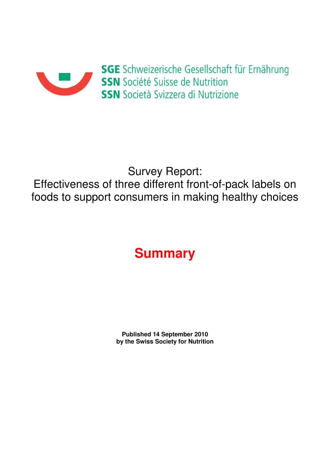

## Survey Report:

Effectiveness of three different front-of-pack labels on foods to support consumers in making healthy choices

## **Summary**

**Published 14 September 2010 by the Swiss Society for Nutrition**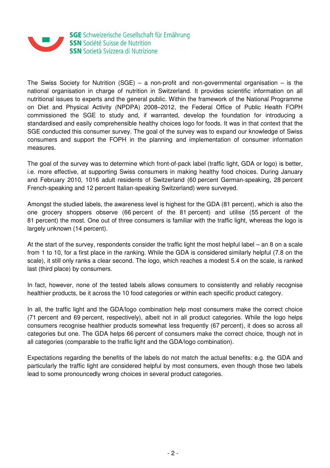

The Swiss Society for Nutrition (SGE) – a non-profit and non-governmental organisation – is the national organisation in charge of nutrition in Switzerland. It provides scientific information on all nutritional issues to experts and the general public. Within the framework of the National Programme on Diet and Physical Activity (NPDPA) 2008–2012, the Federal Office of Public Health FOPH commissioned the SGE to study and, if warranted, develop the foundation for introducing a standardised and easily comprehensible healthy choices logo for foods. It was in that context that the SGE conducted this consumer survey. The goal of the survey was to expand our knowledge of Swiss consumers and support the FOPH in the planning and implementation of consumer information measures.

The goal of the survey was to determine which front-of-pack label (traffic light, GDA or logo) is better, i.e. more effective, at supporting Swiss consumers in making healthy food choices. During January and February 2010, 1016 adult residents of Switzerland (60 percent German-speaking, 28 percent French-speaking and 12 percent Italian-speaking Switzerland) were surveyed.

Amongst the studied labels, the awareness level is highest for the GDA (81 percent), which is also the one grocery shoppers observe (66 percent of the 81 percent) and utilise (55 percent of the 81 percent) the most. One out of three consumers is familiar with the traffic light, whereas the logo is largely unknown (14 percent).

At the start of the survey, respondents consider the traffic light the most helpful label – an 8 on a scale from 1 to 10, for a first place in the ranking. While the GDA is considered similarly helpful (7.8 on the scale), it still only ranks a clear second. The logo, which reaches a modest 5.4 on the scale, is ranked last (third place) by consumers.

In fact, however, none of the tested labels allows consumers to consistently and reliably recognise healthier products, be it across the 10 food categories or within each specific product category.

In all, the traffic light and the GDA/logo combination help most consumers make the correct choice (71 percent and 69 percent, respectively), albeit not in all product categories. While the logo helps consumers recognise healthier products somewhat less frequently (67 percent), it does so across all categories but one. The GDA helps 66 percent of consumers make the correct choice, though not in all categories (comparable to the traffic light and the GDA/logo combination).

Expectations regarding the benefits of the labels do not match the actual benefits: e.g. the GDA and particularly the traffic light are considered helpful by most consumers, even though those two labels lead to some pronouncedly wrong choices in several product categories.